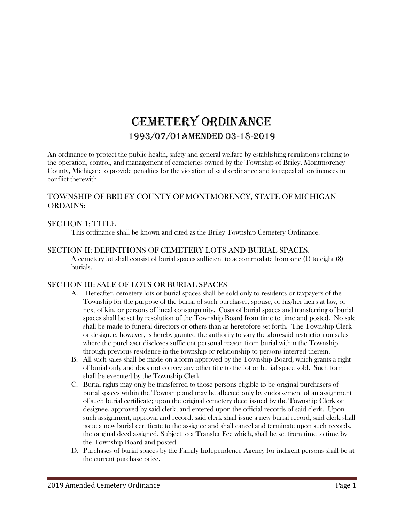# CEMETERY ORDINANCE 1993/07/01AMENDED 03-18-2019

An ordinance to protect the public health, safety and general welfare by establishing regulations relating to the operation, control, and management of cemeteries owned by the Township of Briley, Montmorency County, Michigan: to provide penalties for the violation of said ordinance and to repeal all ordinances in conflict therewith.

# TOWNSHIP OF BRILEY COUNTY OF MONTMORENCY, STATE OF MICHIGAN ORDAINS:

## SECTION 1: TITLE

This ordinance shall be known and cited as the Briley Township Cemetery Ordinance.

## SECTION II: DEFINITIONS OF CEMETERY LOTS AND BURIAL SPACES.

A cemetery lot shall consist of burial spaces sufficient to accommodate from one (1) to eight (8) burials.

# SECTION III: SALE OF LOTS OR BURIAL SPACES

- A. Hereafter, cemetery lots or burial spaces shall be sold only to residents or taxpayers of the Township for the purpose of the burial of such purchaser, spouse, or his/her heirs at law, or next of kin, or persons of lineal consanguinity. Costs of burial spaces and transferring of burial spaces shall be set by resolution of the Township Board from time to time and posted. No sale shall be made to funeral directors or others than as heretofore set forth. The Township Clerk or designee, however, is hereby granted the authority to vary the aforesaid restriction on sales where the purchaser discloses sufficient personal reason from burial within the Township through previous residence in the township or relationship to persons interred therein.
- B. All such sales shall be made on a form approved by the Township Board, which grants a right of burial only and does not convey any other title to the lot or burial space sold. Such form shall be executed by the Township Clerk.
- C. Burial rights may only be transferred to those persons eligible to be original purchasers of burial spaces within the Township and may be affected only by endorsement of an assignment of such burial certificate; upon the original cemetery deed issued by the Township Clerk or designee, approved by said clerk, and entered upon the official records of said clerk. Upon such assignment, approval and record, said clerk shall issue a new burial record, said clerk shall issue a new burial certificate to the assignee and shall cancel and terminate upon such records, the original deed assigned. Subject to a Transfer Fee which, shall be set from time to time by the Township Board and posted.
- D. Purchases of burial spaces by the Family Independence Agency for indigent persons shall be at the current purchase price.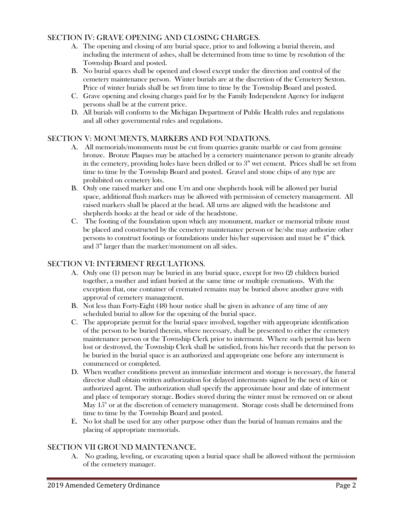## SECTION IV: GRAVE OPENING AND CLOSING CHARGES.

- A. The opening and closing of any burial space, prior to and following a burial therein, and including the interment of ashes, shall be determined from time to time by resolution of the Township Board and posted.
- B. No burial spaces shall be opened and closed except under the direction and control of the cemetery maintenance person. Winter burials are at the discretion of the Cemetery Sexton. Price of winter burials shall be set from time to time by the Township Board and posted.
- C. Grave opening and closing charges paid for by the Family Independent Agency for indigent persons shall be at the current price.
- D. All burials will conform to the Michigan Department of Public Health rules and regulations and all other governmental rules and regulations.

# SECTION V: MONUMENTS, MARKERS AND FOUNDATIONS.

- A. All memorials/monuments must be cut from quarries granite marble or cast from genuine bronze. Bronze Plaques may be attached by a cemetery maintenance person to granite already in the cemetery, providing holes have been drilled or to 3" wet cement. Prices shall be set from time to time by the Township Board and posted. Gravel and stone chips of any type are prohibited on cemetery lots.
- B. Only one raised marker and one Urn and one shepherds hook will be allowed per burial space, additional flush markers may be allowed with permission of cemetery management. All raised markers shall be placed at the head. All urns are aligned with the headstone and shepherds hooks at the head or side of the headstone.
- C. The footing of the foundation upon which any monument, marker or memorial tribute must be placed and constructed by the cemetery maintenance person or he/she may authorize other persons to construct footings or foundations under his/her supervision and must be 4" thick and 3" larger than the marker/monument on all sides.

#### SECTION VI: INTERMENT REGULATIONS.

- A. Only one (1) person may be buried in any burial space, except for two (2) children buried together, a mother and infant buried at the same time or multiple cremations. With the exception that, one container of cremated remains may be buried above another grave with approval of cemetery management.
- B. Not less than Forty-Eight (48) hour notice shall be given in advance of any time of any scheduled burial to allow for the opening of the burial space.
- C. The appropriate permit for the burial space involved, together with appropriate identification of the person to be buried therein, where necessary, shall be presented to either the cemetery maintenance person or the Township Clerk prior to interment. Where such permit has been lost or destroyed, the Township Clerk shall be satisfied, from his/her records that the person to be buried in the burial space is an authorized and appropriate one before any internment is commenced or completed.
- D. When weather conditions prevent an immediate interment and storage is necessary, the funeral director shall obtain written authorization for delayed interments signed by the next of kin or authorized agent. The authorization shall specify the approximate hour and date of interment and place of temporary storage. Bodies stored during the winter must be removed on or about May  $15<sup>th</sup>$  or at the discretion of cemetery management. Storage costs shall be determined from time to time by the Township Board and posted.
- E. No lot shall be used for any other purpose other than the burial of human remains and the placing of appropriate memorials.

#### SECTION VII GROUND MAINTENANCE.

A. No grading, leveling, or excavating upon a burial space shall be allowed without the permission of the cemetery manager.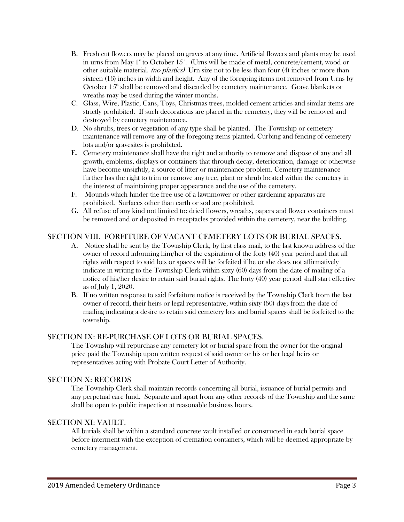- B. Fresh cut flowers may be placed on graves at any time. Artificial flowers and plants may be used in urns from May 1<sup>st</sup> to October 15<sup>th</sup>. (Urns will be made of metal, concrete/cement, wood or other suitable material. (no plastics) Urn size not to be less than four (4) inches or more than sixteen (16) inches in width and height. Any of the foregoing items not removed from Urns by October  $15<sup>th</sup>$  shall be removed and discarded by cemetery maintenance. Grave blankets or wreaths may be used during the winter months.
- C. Glass, Wire, Plastic, Cans, Toys, Christmas trees, molded cement articles and similar items are strictly prohibited. If such decorations are placed in the cemetery, they will be removed and destroyed by cemetery maintenance.
- D. No shrubs, trees or vegetation of any type shall be planted. The Township or cemetery maintenance will remove any of the foregoing items planted. Curbing and fencing of cemetery lots and/or gravesites is prohibited.
- E. Cemetery maintenance shall have the right and authority to remove and dispose of any and all growth, emblems, displays or containers that through decay, deterioration, damage or otherwise have become unsightly, a source of litter or maintenance problem. Cemetery maintenance further has the right to trim or remove any tree, plant or shrub located within the cemetery in the interest of maintaining proper appearance and the use of the cemetery.
- F. Mounds which hinder the free use of a lawnmower or other gardening apparatus are prohibited. Surfaces other than earth or sod are prohibited.
- G. All refuse of any kind not limited to: dried flowers, wreaths, papers and flower containers must be removed and or deposited in receptacles provided within the cemetery, near the building.

#### SECTION VIII. FORFITURE OF VACANT CEMETERY LOTS OR BURIAL SPACES.

- A. Notice shall be sent by the Township Clerk, by first class mail, to the last known address of the owner of record informing him/her of the expiration of the forty (40) year period and that all rights with respect to said lots or spaces will be forfeited if he or she does not affirmatively indicate in writing to the Township Clerk within sixty (60) days from the date of mailing of a notice of his/her desire to retain said burial rights. The forty (40) year period shall start effective as of July 1, 2020.
- B. If no written response to said forfeiture notice is received by the Township Clerk from the last owner of record, their heirs or legal representative, within sixty (60) days from the date of mailing indicating a desire to retain said cemetery lots and burial spaces shall be forfeited to the township.

## SECTION IX: RE-PURCHASE OF LOTS OR BURIAL SPACES.

The Township will repurchase any cemetery lot or burial space from the owner for the original price paid the Township upon written request of said owner or his or her legal heirs or representatives acting with Probate Court Letter of Authority.

#### SECTION X: RECORDS

The Township Clerk shall maintain records concerning all burial, issuance of burial permits and any perpetual care fund. Separate and apart from any other records of the Township and the same shall be open to public inspection at reasonable business hours.

#### SECTION XI: VAULT.

All burials shall be within a standard concrete vault installed or constructed in each burial space before interment with the exception of cremation containers, which will be deemed appropriate by cemetery management.